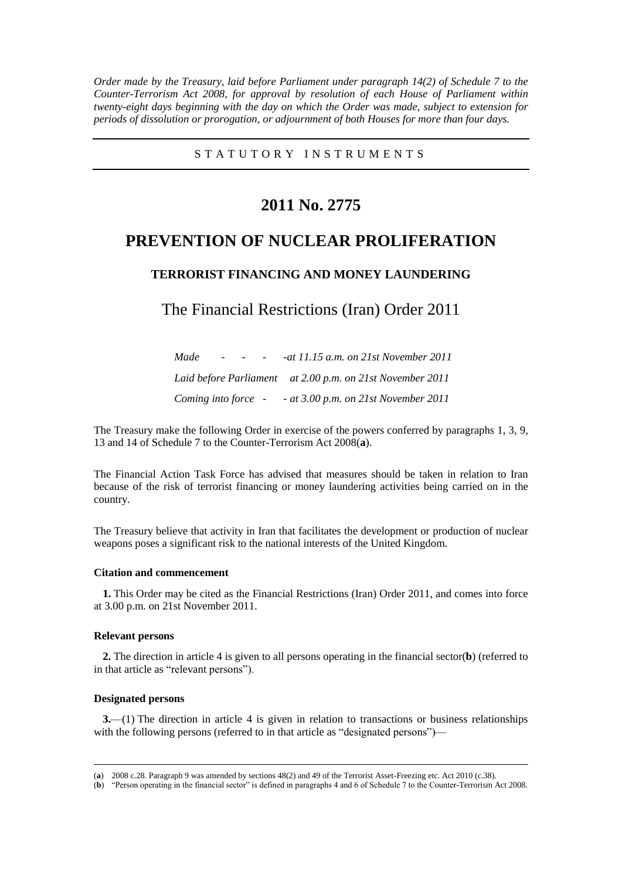*Order made by the Treasury, laid before Parliament under paragraph 14(2) of Schedule 7 to the Counter-Terrorism Act 2008, for approval by resolution of each House of Parliament within twenty-eight days beginning with the day on which the Order was made, subject to extension for periods of dissolution or prorogation, or adjournment of both Houses for more than four days.*

S T A T U T O R Y I N S T R U M E N T S

# **2011 No. 2775**

# **PREVENTION OF NUCLEAR PROLIFERATION**

## **TERRORIST FINANCING AND MONEY LAUNDERING**

# The Financial Restrictions (Iran) Order 2011

| Made                | and the state of the state |  | -at 11.15 a.m. on 21st November 2011                      |
|---------------------|----------------------------|--|-----------------------------------------------------------|
|                     |                            |  | Laid before Parliament at 2.00 p.m. on 21st November 2011 |
| Coming into force - |                            |  | - at 3.00 p.m. on $21st$ November $2011$                  |

The Treasury make the following Order in exercise of the powers conferred by paragraphs 1, 3, 9, 13 and 14 of Schedule 7 to the Counter-Terrorism Act 2008(**a**).

The Financial Action Task Force has advised that measures should be taken in relation to Iran because of the risk of terrorist financing or money laundering activities being carried on in the country.

The Treasury believe that activity in Iran that facilitates the development or production of nuclear weapons poses a significant risk to the national interests of the United Kingdom.

### **Citation and commencement**

**1.** This Order may be cited as the Financial Restrictions (Iran) Order 2011, and comes into force at 3.00 p.m. on 21st November 2011.

#### **Relevant persons**

**2.** The direction in article 4 is given to all persons operating in the financial sector(**b**) (referred to in that article as "relevant persons").

### **Designated persons**

 $\overline{a}$ 

**3.**—(1) The direction in article 4 is given in relation to transactions or business relationships with the following persons (referred to in that article as "designated persons")—

<sup>(</sup>**a**) 2008 c.28. Paragraph 9 was amended by sections 48(2) and 49 of the Terrorist Asset-Freezing etc. Act 2010 (c.38).

<sup>(</sup>**b**) "Person operating in the financial sector" is defined in paragraphs 4 and 6 of Schedule 7 to the Counter-Terrorism Act 2008.